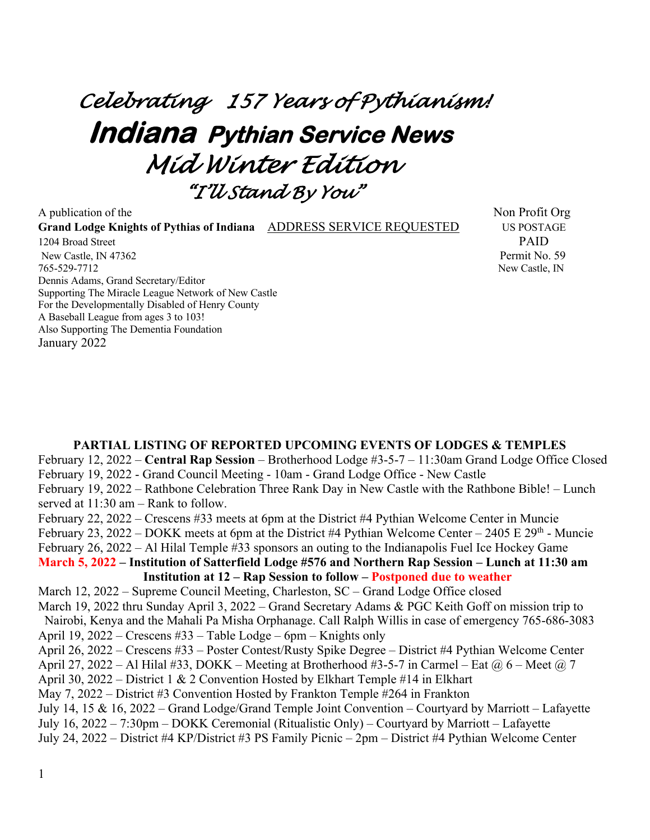# *Celebrating 157 Years of Pythianism!*  **Indiana Pythian Service News**  *Mid Winter Edition "I'll Stand By You"*

A publication of the Non-Grand Lodge Knights of Pythias of Indiana **ADDRESS SERVICE REQUESTED** US POSTAGE 1204 Broad Street PAID New Castle, IN 47362 Permit No. 59 765-529-7712 New Castle, IN Dennis Adams, Grand Secretary/Editor Supporting The Miracle League Network of New Castle For the Developmentally Disabled of Henry County A Baseball League from ages 3 to 103! Also Supporting The Dementia Foundation January 2022

#### **PARTIAL LISTING OF REPORTED UPCOMING EVENTS OF LODGES & TEMPLES** February 12, 2022 – **Central Rap Session** – Brotherhood Lodge #3-5-7 – 11:30am Grand Lodge Office Closed February 19, 2022 - Grand Council Meeting - 10am - Grand Lodge Office - New Castle February 19, 2022 – Rathbone Celebration Three Rank Day in New Castle with the Rathbone Bible! – Lunch served at 11:30 am – Rank to follow. February 22, 2022 – Crescens #33 meets at 6pm at the District #4 Pythian Welcome Center in Muncie February 23, 2022 – DOKK meets at 6pm at the District #4 Pythian Welcome Center – 2405 E 29<sup>th</sup> - Muncie February 26, 2022 – Al Hilal Temple #33 sponsors an outing to the Indianapolis Fuel Ice Hockey Game **March 5, 2022 – Institution of Satterfield Lodge #576 and Northern Rap Session – Lunch at 11:30 am Institution at 12 – Rap Session to follow – Postponed due to weather** March 12, 2022 – Supreme Council Meeting, Charleston, SC – Grand Lodge Office closed March 19, 2022 thru Sunday April 3, 2022 – Grand Secretary Adams & PGC Keith Goff on mission trip to Nairobi, Kenya and the Mahali Pa Misha Orphanage. Call Ralph Willis in case of emergency 765-686-3083 April 19, 2022 – Crescens #33 – Table Lodge – 6pm – Knights only April 26, 2022 – Crescens #33 – Poster Contest/Rusty Spike Degree – District #4 Pythian Welcome Center April 27, 2022 – Al Hilal #33, DOKK – Meeting at Brotherhood #3-5-7 in Carmel – Eat  $\omega_0$  6 – Meet  $\omega_0$  7 April 30, 2022 – District 1 & 2 Convention Hosted by Elkhart Temple #14 in Elkhart May 7, 2022 – District #3 Convention Hosted by Frankton Temple #264 in Frankton July 14, 15 & 16, 2022 – Grand Lodge/Grand Temple Joint Convention – Courtyard by Marriott – Lafayette July 16, 2022 – 7:30pm – DOKK Ceremonial (Ritualistic Only) – Courtyard by Marriott – Lafayette July 24, 2022 – District #4 KP/District #3 PS Family Picnic – 2pm – District #4 Pythian Welcome Center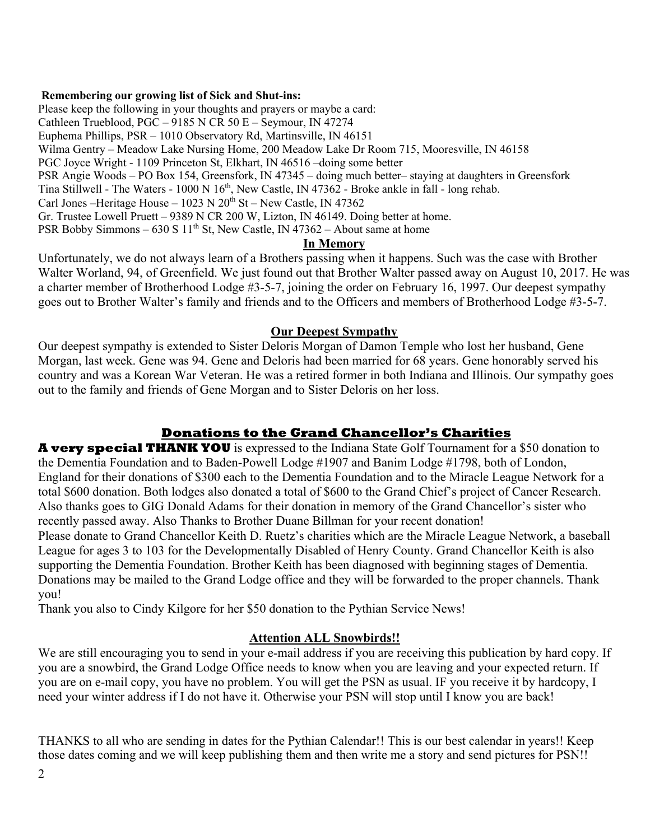#### **Remembering our growing list of Sick and Shut-ins:**

Please keep the following in your thoughts and prayers or maybe a card: Cathleen Trueblood, PGC – 9185 N CR 50 E – Seymour, IN 47274 Euphema Phillips, PSR – 1010 Observatory Rd, Martinsville, IN 46151 Wilma Gentry – Meadow Lake Nursing Home, 200 Meadow Lake Dr Room 715, Mooresville, IN 46158 PGC Joyce Wright - 1109 Princeton St, Elkhart, IN 46516 –doing some better PSR Angie Woods – PO Box 154, Greensfork, IN 47345 – doing much better– staying at daughters in Greensfork Tina Stillwell - The Waters - 1000 N 16<sup>th</sup>, New Castle, IN 47362 - Broke ankle in fall - long rehab. Carl Jones –Heritage House – 1023 N  $20<sup>th</sup>$  St – New Castle, IN 47362 Gr. Trustee Lowell Pruett – 9389 N CR 200 W, Lizton, IN 46149. Doing better at home. PSR Bobby Simmons –  $630 S 11<sup>th</sup>$  St, New Castle, IN 47362 – About same at home **In Memory**

#### Unfortunately, we do not always learn of a Brothers passing when it happens. Such was the case with Brother Walter Worland, 94, of Greenfield. We just found out that Brother Walter passed away on August 10, 2017. He was a charter member of Brotherhood Lodge #3-5-7, joining the order on February 16, 1997. Our deepest sympathy goes out to Brother Walter's family and friends and to the Officers and members of Brotherhood Lodge #3-5-7.

#### **Our Deepest Sympathy**

Our deepest sympathy is extended to Sister Deloris Morgan of Damon Temple who lost her husband, Gene Morgan, last week. Gene was 94. Gene and Deloris had been married for 68 years. Gene honorably served his country and was a Korean War Veteran. He was a retired former in both Indiana and Illinois. Our sympathy goes out to the family and friends of Gene Morgan and to Sister Deloris on her loss.

# **Donations to the Grand Chancellor's Charities**

**A very special THANK YOU** is expressed to the Indiana State Golf Tournament for a \$50 donation to the Dementia Foundation and to Baden-Powell Lodge #1907 and Banim Lodge #1798, both of London, England for their donations of \$300 each to the Dementia Foundation and to the Miracle League Network for a total \$600 donation. Both lodges also donated a total of \$600 to the Grand Chief's project of Cancer Research. Also thanks goes to GIG Donald Adams for their donation in memory of the Grand Chancellor's sister who recently passed away. Also Thanks to Brother Duane Billman for your recent donation! Please donate to Grand Chancellor Keith D. Ruetz's charities which are the Miracle League Network, a baseball

League for ages 3 to 103 for the Developmentally Disabled of Henry County. Grand Chancellor Keith is also supporting the Dementia Foundation. Brother Keith has been diagnosed with beginning stages of Dementia. Donations may be mailed to the Grand Lodge office and they will be forwarded to the proper channels. Thank you!

Thank you also to Cindy Kilgore for her \$50 donation to the Pythian Service News!

#### **Attention ALL Snowbirds!!**

We are still encouraging you to send in your e-mail address if you are receiving this publication by hard copy. If you are a snowbird, the Grand Lodge Office needs to know when you are leaving and your expected return. If you are on e-mail copy, you have no problem. You will get the PSN as usual. IF you receive it by hardcopy, I need your winter address if I do not have it. Otherwise your PSN will stop until I know you are back!

THANKS to all who are sending in dates for the Pythian Calendar!! This is our best calendar in years!! Keep those dates coming and we will keep publishing them and then write me a story and send pictures for PSN!!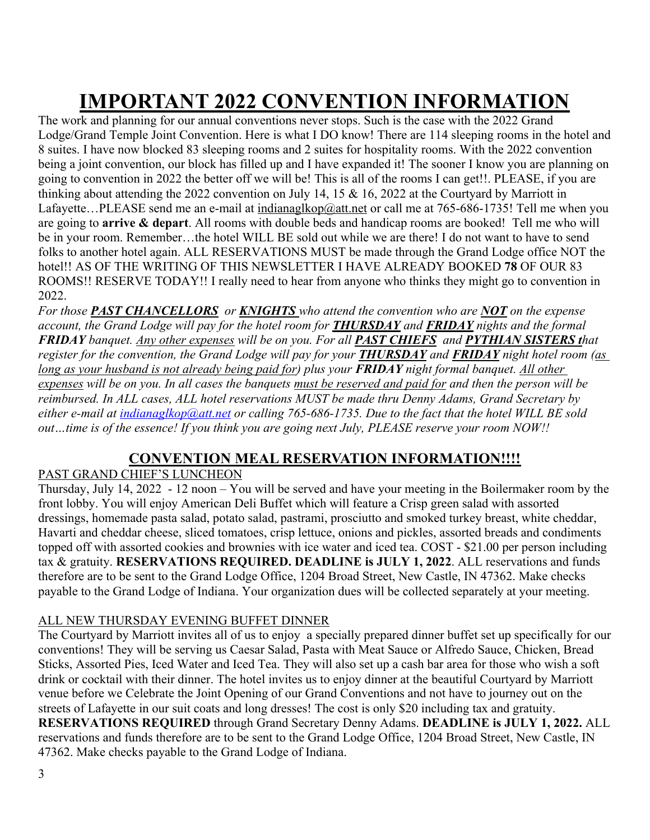# **IMPORTANT 2022 CONVENTION INFORMATION**

The work and planning for our annual conventions never stops. Such is the case with the 2022 Grand Lodge/Grand Temple Joint Convention. Here is what I DO know! There are 114 sleeping rooms in the hotel and 8 suites. I have now blocked 83 sleeping rooms and 2 suites for hospitality rooms. With the 2022 convention being a joint convention, our block has filled up and I have expanded it! The sooner I know you are planning on going to convention in 2022 the better off we will be! This is all of the rooms I can get!!. PLEASE, if you are thinking about attending the 2022 convention on July 14, 15 & 16, 2022 at the Courtyard by Marriott in Lafayette...PLEASE send me an e-mail at indianaglkop@att.net or call me at 765-686-1735! Tell me when you are going to **arrive & depart**. All rooms with double beds and handicap rooms are booked! Tell me who will be in your room. Remember…the hotel WILL BE sold out while we are there! I do not want to have to send folks to another hotel again. ALL RESERVATIONS MUST be made through the Grand Lodge office NOT the hotel!! AS OF THE WRITING OF THIS NEWSLETTER I HAVE ALREADY BOOKED **78** OF OUR 83 ROOMS!! RESERVE TODAY!! I really need to hear from anyone who thinks they might go to convention in 2022.

*For those PAST CHANCELLORS or KNIGHTS who attend the convention who are NOT on the expense account, the Grand Lodge will pay for the hotel room for THURSDAY and FRIDAY nights and the formal FRIDAY banquet. Any other expenses will be on you. For all PAST CHIEFS and PYTHIAN SISTERS that register for the convention, the Grand Lodge will pay for your THURSDAY and FRIDAY night hotel room (as long as your husband is not already being paid for) plus your FRIDAY night formal banquet. All other expenses will be on you. In all cases the banquets must be reserved and paid for and then the person will be reimbursed. In ALL cases, ALL hotel reservations MUST be made thru Denny Adams, Grand Secretary by either e-mail at indianaglkop@att.net or calling 765-686-1735. Due to the fact that the hotel WILL BE sold out…time is of the essence! If you think you are going next July, PLEASE reserve your room NOW!!* 

# **CONVENTION MEAL RESERVATION INFORMATION!!!!**

# PAST GRAND CHIEF'S LUNCHEON

Thursday, July 14, 2022 - 12 noon – You will be served and have your meeting in the Boilermaker room by the front lobby. You will enjoy American Deli Buffet which will feature a Crisp green salad with assorted dressings, homemade pasta salad, potato salad, pastrami, prosciutto and smoked turkey breast, white cheddar, Havarti and cheddar cheese, sliced tomatoes, crisp lettuce, onions and pickles, assorted breads and condiments topped off with assorted cookies and brownies with ice water and iced tea. COST - \$21.00 per person including tax & gratuity. **RESERVATIONS REQUIRED. DEADLINE is JULY 1, 2022**. ALL reservations and funds therefore are to be sent to the Grand Lodge Office, 1204 Broad Street, New Castle, IN 47362. Make checks payable to the Grand Lodge of Indiana. Your organization dues will be collected separately at your meeting.

# ALL NEW THURSDAY EVENING BUFFET DINNER

The Courtyard by Marriott invites all of us to enjoy a specially prepared dinner buffet set up specifically for our conventions! They will be serving us Caesar Salad, Pasta with Meat Sauce or Alfredo Sauce, Chicken, Bread Sticks, Assorted Pies, Iced Water and Iced Tea. They will also set up a cash bar area for those who wish a soft drink or cocktail with their dinner. The hotel invites us to enjoy dinner at the beautiful Courtyard by Marriott venue before we Celebrate the Joint Opening of our Grand Conventions and not have to journey out on the streets of Lafayette in our suit coats and long dresses! The cost is only \$20 including tax and gratuity. **RESERVATIONS REQUIRED** through Grand Secretary Denny Adams. **DEADLINE is JULY 1, 2022.** ALL reservations and funds therefore are to be sent to the Grand Lodge Office, 1204 Broad Street, New Castle, IN 47362. Make checks payable to the Grand Lodge of Indiana.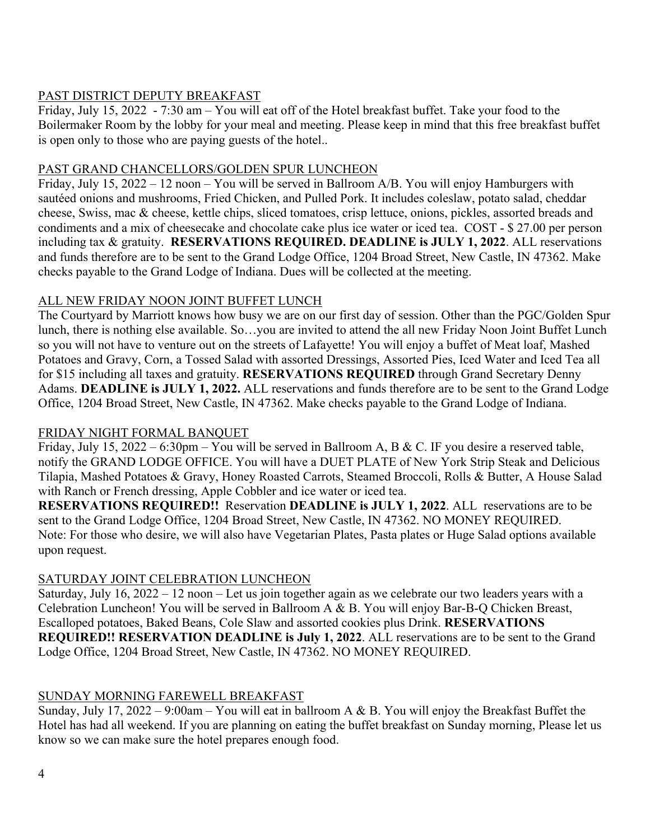#### PAST DISTRICT DEPUTY BREAKFAST

Friday, July 15, 2022 - 7:30 am – You will eat off of the Hotel breakfast buffet. Take your food to the Boilermaker Room by the lobby for your meal and meeting. Please keep in mind that this free breakfast buffet is open only to those who are paying guests of the hotel..

#### PAST GRAND CHANCELLORS/GOLDEN SPUR LUNCHEON

Friday, July 15, 2022 – 12 noon – You will be served in Ballroom A/B. You will enjoy Hamburgers with sautéed onions and mushrooms, Fried Chicken, and Pulled Pork. It includes coleslaw, potato salad, cheddar cheese, Swiss, mac & cheese, kettle chips, sliced tomatoes, crisp lettuce, onions, pickles, assorted breads and condiments and a mix of cheesecake and chocolate cake plus ice water or iced tea. COST - \$ 27.00 per person including tax & gratuity. **RESERVATIONS REQUIRED. DEADLINE is JULY 1, 2022**. ALL reservations and funds therefore are to be sent to the Grand Lodge Office, 1204 Broad Street, New Castle, IN 47362. Make checks payable to the Grand Lodge of Indiana. Dues will be collected at the meeting.

# ALL NEW FRIDAY NOON JOINT BUFFET LUNCH

The Courtyard by Marriott knows how busy we are on our first day of session. Other than the PGC/Golden Spur lunch, there is nothing else available. So…you are invited to attend the all new Friday Noon Joint Buffet Lunch so you will not have to venture out on the streets of Lafayette! You will enjoy a buffet of Meat loaf, Mashed Potatoes and Gravy, Corn, a Tossed Salad with assorted Dressings, Assorted Pies, Iced Water and Iced Tea all for \$15 including all taxes and gratuity. **RESERVATIONS REQUIRED** through Grand Secretary Denny Adams. **DEADLINE is JULY 1, 2022.** ALL reservations and funds therefore are to be sent to the Grand Lodge Office, 1204 Broad Street, New Castle, IN 47362. Make checks payable to the Grand Lodge of Indiana.

# FRIDAY NIGHT FORMAL BANQUET

Friday, July 15, 2022 – 6:30pm – You will be served in Ballroom A, B & C. IF you desire a reserved table, notify the GRAND LODGE OFFICE. You will have a DUET PLATE of New York Strip Steak and Delicious Tilapia, Mashed Potatoes & Gravy, Honey Roasted Carrots, Steamed Broccoli, Rolls & Butter, A House Salad with Ranch or French dressing, Apple Cobbler and ice water or iced tea.

**RESERVATIONS REQUIRED!!** Reservation **DEADLINE is JULY 1, 2022**. ALL reservations are to be sent to the Grand Lodge Office, 1204 Broad Street, New Castle, IN 47362. NO MONEY REQUIRED. Note: For those who desire, we will also have Vegetarian Plates, Pasta plates or Huge Salad options available upon request.

# SATURDAY JOINT CELEBRATION LUNCHEON

Saturday, July 16, 2022 – 12 noon – Let us join together again as we celebrate our two leaders years with a Celebration Luncheon! You will be served in Ballroom A & B. You will enjoy Bar-B-Q Chicken Breast, Escalloped potatoes, Baked Beans, Cole Slaw and assorted cookies plus Drink. **RESERVATIONS REQUIRED!! RESERVATION DEADLINE is July 1, 2022**. ALL reservations are to be sent to the Grand Lodge Office, 1204 Broad Street, New Castle, IN 47362. NO MONEY REQUIRED.

# SUNDAY MORNING FAREWELL BREAKFAST

Sunday, July 17, 2022 – 9:00am – You will eat in ballroom A & B. You will enjoy the Breakfast Buffet the Hotel has had all weekend. If you are planning on eating the buffet breakfast on Sunday morning, Please let us know so we can make sure the hotel prepares enough food.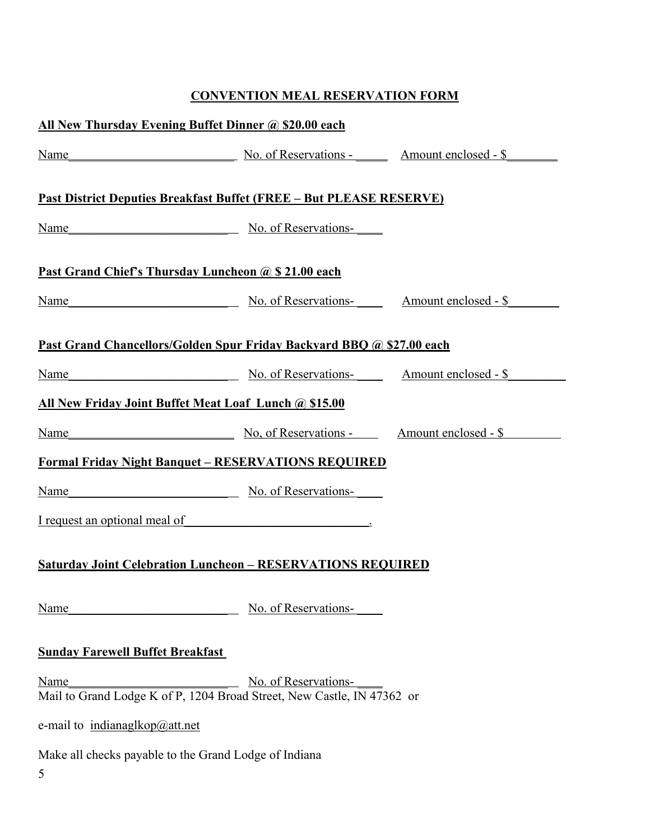# **CONVENTION MEAL RESERVATION FORM**

| All New Thursday Evening Buffet Dinner @ \$20.00 each                                                         |                                                                                                                                                                                                                                  |  |
|---------------------------------------------------------------------------------------------------------------|----------------------------------------------------------------------------------------------------------------------------------------------------------------------------------------------------------------------------------|--|
|                                                                                                               | Name Name No. of Reservations - Amount enclosed - \$                                                                                                                                                                             |  |
| <u> Past District Deputies Breakfast Buffet (FREE – But PLEASE RESERVE)</u>                                   |                                                                                                                                                                                                                                  |  |
|                                                                                                               | Name No. of Reservations-                                                                                                                                                                                                        |  |
| Past Grand Chief's Thursday Luncheon @ \$ 21.00 each                                                          |                                                                                                                                                                                                                                  |  |
|                                                                                                               | Name No. of Reservations- Amount enclosed - \$                                                                                                                                                                                   |  |
|                                                                                                               | Past Grand Chancellors/Golden Spur Friday Backyard BBQ @ \$27.00 each                                                                                                                                                            |  |
|                                                                                                               | Name Mame Mo. of Reservations- Mo. of Reservations Mo. of Reservations Mo. of Reservations Mo. of Reservations Mo. of Reservations Amount enclosed - \$ Mo. of Reservations Amount enclosed - \$ Mo. of Reservations  Mo. of Res |  |
| All New Friday Joint Buffet Meat Loaf Lunch @ \$15.00                                                         |                                                                                                                                                                                                                                  |  |
|                                                                                                               | Name No. of Reservations - Amount enclosed - \$                                                                                                                                                                                  |  |
|                                                                                                               | <b>Formal Friday Night Banquet - RESERVATIONS REQUIRED</b>                                                                                                                                                                       |  |
| Name                                                                                                          | No. of Reservations-                                                                                                                                                                                                             |  |
| I request an optional meal of                                                                                 |                                                                                                                                                                                                                                  |  |
| <b>Saturday Joint Celebration Luncheon - RESERVATIONS REQUIRED</b>                                            |                                                                                                                                                                                                                                  |  |
| Name                                                                                                          | No. of Reservations-                                                                                                                                                                                                             |  |
| <b>Sunday Farewell Buffet Breakfast</b>                                                                       |                                                                                                                                                                                                                                  |  |
| No. of Reservations-<br><b>Name</b><br>Mail to Grand Lodge K of P, 1204 Broad Street, New Castle, IN 47362 or |                                                                                                                                                                                                                                  |  |
| e-mail to $indianaglkop@att.net$                                                                              |                                                                                                                                                                                                                                  |  |
| Make all checks payable to the Grand Lodge of Indiana<br>5                                                    |                                                                                                                                                                                                                                  |  |